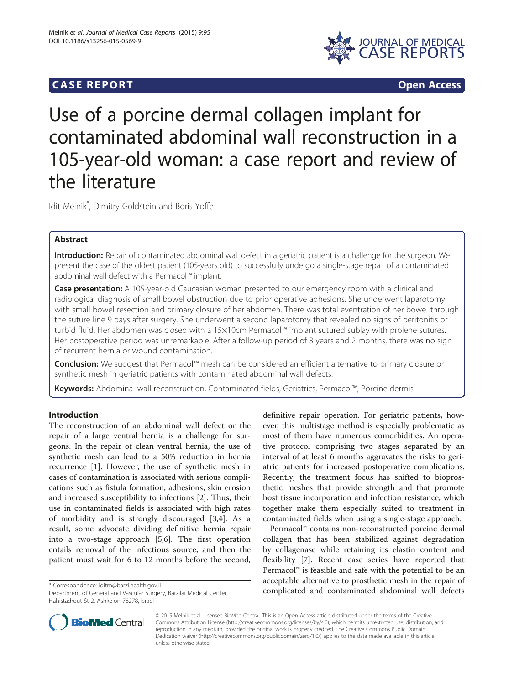# **CASE REPORT CASE REPORT**



# Use of a porcine dermal collagen implant for contaminated abdominal wall reconstruction in a 105-year-old woman: a case report and review of the literature

Idit Melnik\* , Dimitry Goldstein and Boris Yoffe

## Abstract

Introduction: Repair of contaminated abdominal wall defect in a geriatric patient is a challenge for the surgeon. We present the case of the oldest patient (105-years old) to successfully undergo a single-stage repair of a contaminated abdominal wall defect with a Permacol™ implant.

**Case presentation:** A 105-year-old Caucasian woman presented to our emergency room with a clinical and radiological diagnosis of small bowel obstruction due to prior operative adhesions. She underwent laparotomy with small bowel resection and primary closure of her abdomen. There was total eventration of her bowel through the suture line 9 days after surgery. She underwent a second laparotomy that revealed no signs of peritonitis or turbid fluid. Her abdomen was closed with a 15×10cm Permacol™ implant sutured sublay with prolene sutures. Her postoperative period was unremarkable. After a follow-up period of 3 years and 2 months, there was no sign of recurrent hernia or wound contamination.

Conclusion: We suggest that Permacol™ mesh can be considered an efficient alternative to primary closure or synthetic mesh in geriatric patients with contaminated abdominal wall defects.

Keywords: Abdominal wall reconstruction, Contaminated fields, Geriatrics, Permacol™, Porcine dermis

## Introduction

The reconstruction of an abdominal wall defect or the repair of a large ventral hernia is a challenge for surgeons. In the repair of clean ventral hernia, the use of synthetic mesh can lead to a 50% reduction in hernia recurrence [\[1](#page-2-0)]. However, the use of synthetic mesh in cases of contamination is associated with serious complications such as fistula formation, adhesions, skin erosion and increased susceptibility to infections [\[2](#page-2-0)]. Thus, their use in contaminated fields is associated with high rates of morbidity and is strongly discouraged [\[3,4](#page-2-0)]. As a result, some advocate dividing definitive hernia repair into a two-stage approach [[5,6\]](#page-2-0). The first operation entails removal of the infectious source, and then the patient must wait for 6 to 12 months before the second,

Department of General and Vascular Surgery, Barzilai Medical Center, Hahistadrout St 2, Ashkelon 78278, Israel



Permacol™ contains non-reconstructed porcine dermal collagen that has been stabilized against degradation by collagenase while retaining its elastin content and flexibility [[7\]](#page-2-0). Recent case series have reported that Permacol™ is feasible and safe with the potential to be an acceptable alternative to prosthetic mesh in the repair of complicated and contaminated abdominal wall defects \* Correspondence: [iditm@barzi.health.gov.il](mailto:iditm@barzi.health.gov.il)



© 2015 Melnik et al.; licensee BioMed Central. This is an Open Access article distributed under the terms of the Creative Commons Attribution License [\(http://creativecommons.org/licenses/by/4.0\)](http://creativecommons.org/licenses/by/4.0), which permits unrestricted use, distribution, and reproduction in any medium, provided the original work is properly credited. The Creative Commons Public Domain Dedication waiver [\(http://creativecommons.org/publicdomain/zero/1.0/](http://creativecommons.org/publicdomain/zero/1.0/)) applies to the data made available in this article, unless otherwise stated.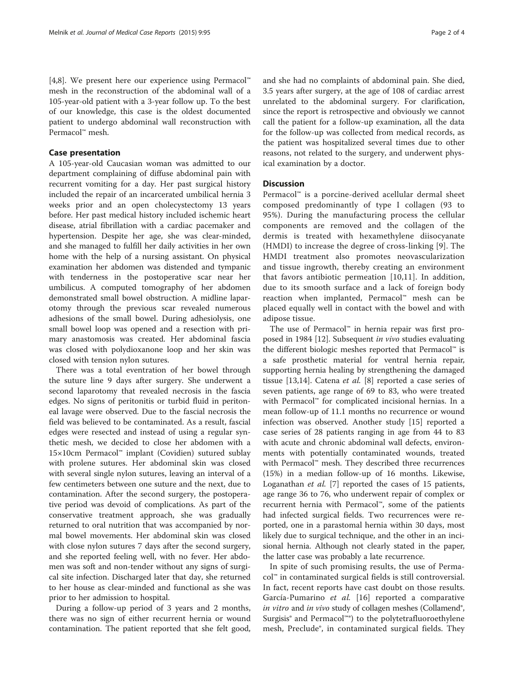[[4,8\]](#page-2-0). We present here our experience using Permacol™ mesh in the reconstruction of the abdominal wall of a 105-year-old patient with a 3-year follow up. To the best of our knowledge, this case is the oldest documented patient to undergo abdominal wall reconstruction with Permacol™ mesh.

#### Case presentation

A 105-year-old Caucasian woman was admitted to our department complaining of diffuse abdominal pain with recurrent vomiting for a day. Her past surgical history included the repair of an incarcerated umbilical hernia 3 weeks prior and an open cholecystectomy 13 years before. Her past medical history included ischemic heart disease, atrial fibrillation with a cardiac pacemaker and hypertension. Despite her age, she was clear-minded, and she managed to fulfill her daily activities in her own home with the help of a nursing assistant. On physical examination her abdomen was distended and tympanic with tenderness in the postoperative scar near her umbilicus. A computed tomography of her abdomen demonstrated small bowel obstruction. A midline laparotomy through the previous scar revealed numerous adhesions of the small bowel. During adhesiolysis, one small bowel loop was opened and a resection with primary anastomosis was created. Her abdominal fascia was closed with polydioxanone loop and her skin was closed with tension nylon sutures.

There was a total eventration of her bowel through the suture line 9 days after surgery. She underwent a second laparotomy that revealed necrosis in the fascia edges. No signs of peritonitis or turbid fluid in peritoneal lavage were observed. Due to the fascial necrosis the field was believed to be contaminated. As a result, fascial edges were resected and instead of using a regular synthetic mesh, we decided to close her abdomen with a 15×10cm Permacol™ implant (Covidien) sutured sublay with prolene sutures. Her abdominal skin was closed with several single nylon sutures, leaving an interval of a few centimeters between one suture and the next, due to contamination. After the second surgery, the postoperative period was devoid of complications. As part of the conservative treatment approach, she was gradually returned to oral nutrition that was accompanied by normal bowel movements. Her abdominal skin was closed with close nylon sutures 7 days after the second surgery, and she reported feeling well, with no fever. Her abdomen was soft and non-tender without any signs of surgical site infection. Discharged later that day, she returned to her house as clear-minded and functional as she was prior to her admission to hospital.

During a follow-up period of 3 years and 2 months, there was no sign of either recurrent hernia or wound contamination. The patient reported that she felt good,

and she had no complaints of abdominal pain. She died, 3.5 years after surgery, at the age of 108 of cardiac arrest unrelated to the abdominal surgery. For clarification, since the report is retrospective and obviously we cannot call the patient for a follow-up examination, all the data for the follow-up was collected from medical records, as the patient was hospitalized several times due to other reasons, not related to the surgery, and underwent physical examination by a doctor.

#### **Discussion**

Permacol<sup>™</sup> is a porcine-derived acellular dermal sheet composed predominantly of type I collagen (93 to 95%). During the manufacturing process the cellular components are removed and the collagen of the dermis is treated with hexamethylene diisocyanate (HMDI) to increase the degree of cross-linking [[9\]](#page-2-0). The HMDI treatment also promotes neovascularization and tissue ingrowth, thereby creating an environment that favors antibiotic permeation [[10,11](#page-2-0)]. In addition, due to its smooth surface and a lack of foreign body reaction when implanted, Permacol™ mesh can be placed equally well in contact with the bowel and with adipose tissue.

The use of Permacol™ in hernia repair was first proposed in 1984 [[12\]](#page-2-0). Subsequent in vivo studies evaluating the different biologic meshes reported that Permacol™ is a safe prosthetic material for ventral hernia repair, supporting hernia healing by strengthening the damaged tissue [[13](#page-2-0),[14](#page-2-0)]. Catena et al. [\[8](#page-2-0)] reported a case series of seven patients, age range of 69 to 83, who were treated with Permacol™ for complicated incisional hernias. In a mean follow-up of 11.1 months no recurrence or wound infection was observed. Another study [[15\]](#page-2-0) reported a case series of 28 patients ranging in age from 44 to 83 with acute and chronic abdominal wall defects, environments with potentially contaminated wounds, treated with Permacol™ mesh. They described three recurrences (15%) in a median follow-up of 16 months. Likewise, Loganathan et al. [\[7](#page-2-0)] reported the cases of 15 patients, age range 36 to 76, who underwent repair of complex or recurrent hernia with Permacol™, some of the patients had infected surgical fields. Two recurrences were reported, one in a parastomal hernia within 30 days, most likely due to surgical technique, and the other in an incisional hernia. Although not clearly stated in the paper, the latter case was probably a late recurrence.

In spite of such promising results, the use of Permacol™ in contaminated surgical fields is still controversial. In fact, recent reports have cast doubt on those results. García-Pumarino et al. [[16](#page-2-0)] reported a comparative in vitro and in vivo study of collagen meshes (Collamend<sup>®</sup>, Surgisis® and Permacol™®) to the polytetrafluoroethylene mesh, Preclude®, in contaminated surgical fields. They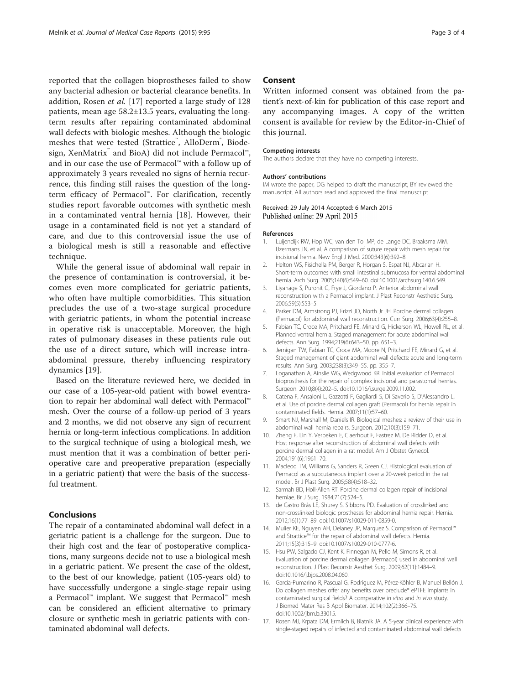<span id="page-2-0"></span>reported that the collagen bioprostheses failed to show any bacterial adhesion or bacterial clearance benefits. In addition, Rosen et al. [17] reported a large study of 128 patients, mean age 58.2±13.5 years, evaluating the longterm results after repairing contaminated abdominal wall defects with biologic meshes. Although the biologic meshes that were tested (Strattice™, AlloDerm®, Biodesign, XenMatrix™ and BioA) did not include Permacol™, and in our case the use of Permacol™ with a follow up of approximately 3 years revealed no signs of hernia recurrence, this finding still raises the question of the longterm efficacy of Permacol™. For clarification, recently studies report favorable outcomes with synthetic mesh in a contaminated ventral hernia [[18\]](#page-3-0). However, their usage in a contaminated field is not yet a standard of care, and due to this controversial issue the use of a biological mesh is still a reasonable and effective technique.

While the general issue of abdominal wall repair in the presence of contamination is controversial, it becomes even more complicated for geriatric patients, who often have multiple comorbidities. This situation precludes the use of a two-stage surgical procedure with geriatric patients, in whom the potential increase in operative risk is unacceptable. Moreover, the high rates of pulmonary diseases in these patients rule out the use of a direct suture, which will increase intraabdominal pressure, thereby influencing respiratory dynamics [\[19](#page-3-0)].

Based on the literature reviewed here, we decided in our case of a 105-year-old patient with bowel eventration to repair her abdominal wall defect with Permacol™ mesh. Over the course of a follow-up period of 3 years and 2 months, we did not observe any sign of recurrent hernia or long-term infectious complications. In addition to the surgical technique of using a biological mesh, we must mention that it was a combination of better perioperative care and preoperative preparation (especially in a geriatric patient) that were the basis of the successful treatment.

#### Conclusions

The repair of a contaminated abdominal wall defect in a geriatric patient is a challenge for the surgeon. Due to their high cost and the fear of postoperative complications, many surgeons decide not to use a biological mesh in a geriatric patient. We present the case of the oldest, to the best of our knowledge, patient (105-years old) to have successfully undergone a single-stage repair using a Permacol™ implant. We suggest that Permacol™ mesh can be considered an efficient alternative to primary closure or synthetic mesh in geriatric patients with contaminated abdominal wall defects.

### Consent

Written informed consent was obtained from the patient's next-of-kin for publication of this case report and any accompanying images. A copy of the written consent is available for review by the Editor-in-Chief of this journal.

#### Competing interests

The authors declare that they have no competing interests.

#### Authors' contributions

IM wrote the paper, DG helped to draft the manuscript; BY reviewed the manuscript. All authors read and approved the final manuscript

#### Received: 29 July 2014 Accepted: 6 March 2015 Published online: 29 April 2015

#### References

- 1. Luijendijk RW, Hop WC, van den Tol MP, de Lange DC, Braaksma MM, IJzermans JN, et al. A comparison of suture repair with mesh repair for incisional hernia. New Engl J Med. 2000;343(6):392–8.
- 2. Helton WS, Fisichella PM, Berger R, Horgan S, Espat NJ, Abcarian H. Short-term outcomes with small intestinal submucosa for ventral abdominal hernia. Arch Surg. 2005;140(6):549–60. doi:10.1001/archsurg.140.6.549.
- 3. Liyanage S, Purohit G, Frye J, Giordano P. Anterior abdominal wall reconstruction with a Permacol implant. J Plast Reconstr Aesthetic Surg. 2006;59(5):553–5.
- 4. Parker DM, Armstrong PJ, Frizzi JD, North Jr JH. Porcine dermal collagen (Permacol) for abdominal wall reconstruction. Curr Surg. 2006;63(4):255–8.
- 5. Fabian TC, Croce MA, Pritchard FE, Minard G, Hickerson WL, Howell RL, et al. Planned ventral hernia. Staged management for acute abdominal wall defects. Ann Surg. 1994;219(6):643–50. pp. 651–3.
- 6. Jernigan TW, Fabian TC, Croce MA, Moore N, Pritchard FE, Minard G, et al. Staged management of giant abdominal wall defects: acute and long-term results. Ann Surg. 2003;238(3):349–55. pp. 355–7.
- 7. Loganathan A, Ainslie WG, Wedgwood KR. Initial evaluation of Permacol bioprosthesis for the repair of complex incisional and parastomal hernias. Surgeon. 2010;8(4):202–5. doi:10.1016/j.surge.2009.11.002.
- 8. Catena F, Ansaloni L, Gazzotti F, Gagliardi S, Di Saverio S, D'Alessandro L, et al. Use of porcine dermal collagen graft (Permacol) for hernia repair in contaminated fields. Hernia. 2007;11(1):57–60.
- 9. Smart NJ, Marshall M, Daniels IR. Biological meshes: a review of their use in abdominal wall hernia repairs. Surgeon. 2012;10(3):159–71.
- 10. Zheng F, Lin Y, Verbeken E, Claerhout F, Fastrez M, De Ridder D, et al. Host response after reconstruction of abdominal wall defects with porcine dermal collagen in a rat model. Am J Obstet Gynecol. 2004;191(6):1961–70.
- 11. Macleod TM, Williams G, Sanders R, Green CJ. Histological evaluation of Permacol as a subcutaneous implant over a 20-week period in the rat model. Br J Plast Surg. 2005;58(4):518–32.
- 12. Sarmah BD, Holl-Allen RT. Porcine dermal collagen repair of incisional herniae. Br J Surg. 1984;71(7):524–5.
- 13. de Castro Brás LE, Shurey S, Sibbons PD. Evaluation of crosslinked and non-crosslinked biologic prostheses for abdominal hernia repair. Hernia. 2012;16(1):77–89. doi:10.1007/s10029-011-0859-0.
- 14. Mulier KE, Nguyen AH, Delaney JP, Marquez S. Comparison of Permacol™ and Strattice™ for the repair of abdominal wall defects. Hernia. 2011;15(3):315–9. doi:10.1007/s10029-010-0777-6.
- 15. Hsu PW, Salgado CJ, Kent K, Finnegan M, Pello M, Simons R, et al. Evaluation of porcine dermal collagen (Permacol) used in abdominal wall reconstruction. J Plast Reconstr Aesthet Surg. 2009;62(11):1484–9. doi:10.1016/j.bjps.2008.04.060.
- 16. García-Pumarino R, Pascual G, Rodríguez M, Pérez-Köhler B, Manuel Bellón J. Do collagen meshes offer any benefits over preclude® ePTFE implants in contaminated surgical fields? A comparative in vitro and in vivo study. J Biomed Mater Res B Appl Biomater. 2014;102(2):366–75. doi:10.1002/jbm.b.33015.
- 17. Rosen MJ, Krpata DM, Ermlich B, Blatnik JA. A 5-year clinical experience with single-staged repairs of infected and contaminated abdominal wall defects